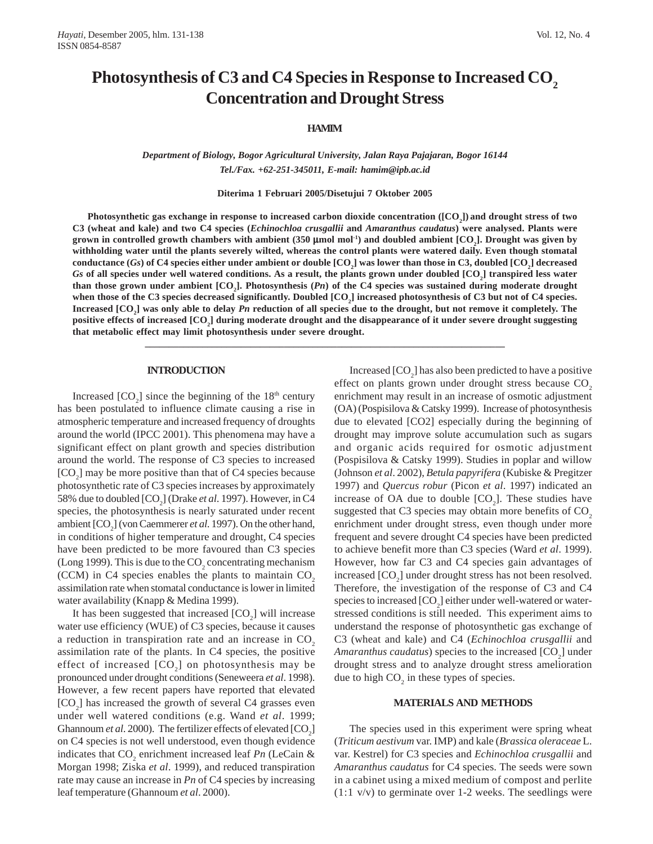# Photosynthesis of C3 and C4 Species in Response to Increased CO<sub>2</sub> **Concentration and Drought Stress**

# **HAMIM**

*Department of Biology, Bogor Agricultural University, Jalan Raya Pajajaran, Bogor 16144 Tel./Fax. +62-251-345011, E-mail: hamim@ipb.ac.id*

**Diterima 1 Februari 2005/Disetujui 7 Oktober 2005**

**Photosynthetic gas exchange in response to increased carbon dioxide concentration ([CO2 ]) and drought stress of two C3 (wheat and kale) and two C4 species (***Echinochloa crusgallii* **and** *Amaranthus caudatus***) were analysed. Plants were grown in controlled growth chambers with ambient (350 μmol mol<sup>-1</sup>) and doubled ambient [CO<sub>2</sub>]. Drought was given by withholding water until the plants severely wilted, whereas the control plants were watered daily. Even though stomatal**  $\text{conductance (}G\text{s}\text{)}\text{ of C4 species either under ambient or double } [\text{CO}_2] \text{ was lower than those in C3, doubled } [\text{CO}_2] \text{ decreased}$ *Gs* **of all species under well watered conditions. As a result, the plants grown under doubled [CO2 ] transpired less water** than those grown under ambient [CO<sub>2</sub>]. Photosynthesis (*Pn*) of the C4 species was sustained during moderate drought when those of the C3 species decreased significantly. Doubled [CO<sub>2</sub>] increased photosynthesis of C3 but not of C4 species. Increased [CO<sub>2</sub>] was only able to delay *Pn* reduction of all species due to the drought, but not remove it completely. The positive effects of increased [CO<sub>2</sub>] during moderate drought and the disappearance of it under severe drought suggesting **that metabolic effect may limit photosynthesis under severe drought.**

**\_\_\_\_\_\_\_\_\_\_\_\_\_\_\_\_\_\_\_\_\_\_\_\_\_\_\_\_\_\_\_\_\_\_\_\_\_\_\_\_\_\_\_\_\_\_\_\_\_\_\_\_\_\_\_\_\_\_\_\_\_\_\_\_\_\_\_\_\_\_\_\_\_\_\_**

#### **INTRODUCTION**

Increased  $[CO_2]$  since the beginning of the 18<sup>th</sup> century has been postulated to influence climate causing a rise in atmospheric temperature and increased frequency of droughts around the world (IPCC 2001). This phenomena may have a significant effect on plant growth and species distribution around the world. The response of C3 species to increased  $[CO<sub>2</sub>]$  may be more positive than that of C4 species because photosynthetic rate of C3 species increases by approximately 58% due to doubled [CO<sub>2</sub>] (Drake *et al.* 1997). However, in C4 species, the photosynthesis is nearly saturated under recent ambient [CO<sub>2</sub>] (von Caemmerer *et al.* 1997). On the other hand, in conditions of higher temperature and drought, C4 species have been predicted to be more favoured than C3 species (Long 1999). This is due to the  $CO_2$  concentrating mechanism (CCM) in C4 species enables the plants to maintain  $CO<sub>2</sub>$ assimilation rate when stomatal conductance is lower in limited water availability (Knapp & Medina 1999).

It has been suggested that increased  $[CO<sub>2</sub>]$  will increase water use efficiency (WUE) of C3 species, because it causes a reduction in transpiration rate and an increase in  $CO<sub>2</sub>$ assimilation rate of the plants. In C4 species, the positive effect of increased  $[CO_2]$  on photosynthesis may be pronounced under drought conditions (Seneweera *et al*. 1998). However, a few recent papers have reported that elevated  $[CO<sub>2</sub>]$  has increased the growth of several C4 grasses even under well watered conditions (e.g. Wand *et al*. 1999; Ghannoum *et al.* 2000). The fertilizer effects of elevated  $[CO_2]$ on C4 species is not well understood, even though evidence indicates that  $CO_2$  enrichment increased leaf *Pn* (LeCain & Morgan 1998; Ziska *et al*. 1999), and reduced transpiration rate may cause an increase in *Pn* of C4 species by increasing leaf temperature (Ghannoum *et al*. 2000).

Increased  $[CO<sub>2</sub>]$  has also been predicted to have a positive effect on plants grown under drought stress because CO<sub>2</sub> enrichment may result in an increase of osmotic adjustment (OA) (Pospisilova & Catsky 1999). Increase of photosynthesis due to elevated [CO2] especially during the beginning of drought may improve solute accumulation such as sugars and organic acids required for osmotic adjustment (Pospisilova & Catsky 1999). Studies in poplar and willow (Johnson *et al*. 2002), *Betula papyrifera* (Kubiske & Pregitzer 1997) and *Quercus robur* (Picon *et al*. 1997) indicated an increase of OA due to double  $[CO<sub>2</sub>]$ . These studies have suggested that  $C_3$  species may obtain more benefits of  $CO<sub>2</sub>$ enrichment under drought stress, even though under more frequent and severe drought C4 species have been predicted to achieve benefit more than C3 species (Ward *et al*. 1999). However, how far C3 and C4 species gain advantages of increased  $[CO_2]$  under drought stress has not been resolved. Therefore, the investigation of the response of C3 and C4 species to increased  $\mathcal{[CO}_2]$  either under well-watered or waterstressed conditions is still needed. This experiment aims to understand the response of photosynthetic gas exchange of C3 (wheat and kale) and C4 (*Echinochloa crusgallii* and Amaranthus caudatus) species to the increased [CO<sub>2</sub>] under drought stress and to analyze drought stress amelioration due to high  $CO<sub>2</sub>$  in these types of species.

#### **MATERIALS AND METHODS**

The species used in this experiment were spring wheat (*Triticum aestivum* var. IMP) and kale (*Brassica oleraceae* L. var. Kestrel) for C3 species and *Echinochloa crusgallii* and *Amaranthus caudatus* for C4 species. The seeds were sown in a cabinet using a mixed medium of compost and perlite  $(1:1 \text{ v/v})$  to germinate over 1-2 weeks. The seedlings were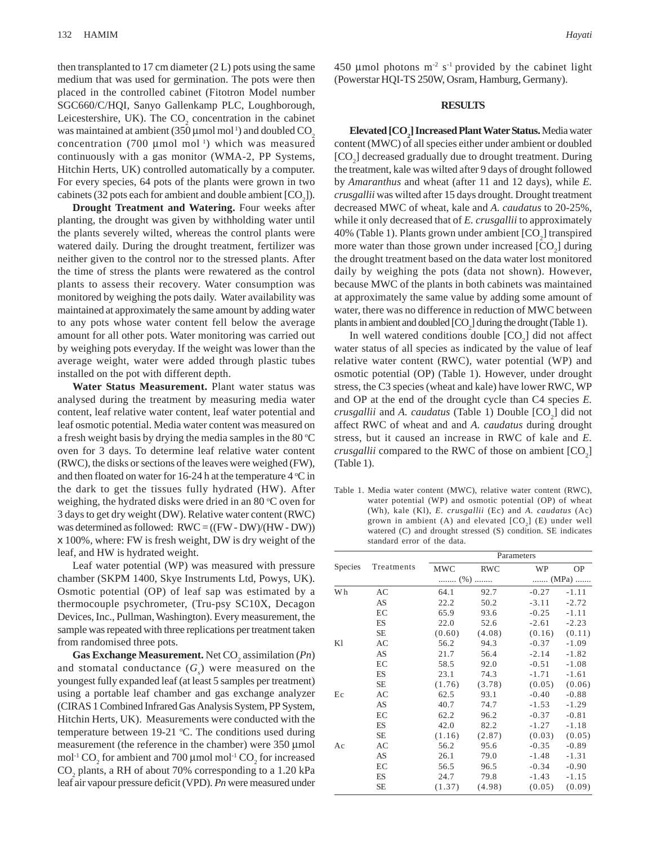then transplanted to 17 cm diameter  $(2 L)$  pots using the same medium that was used for germination. The pots were then placed in the controlled cabinet (Fitotron Model number SGC660/C/HQI, Sanyo Gallenkamp PLC, Loughborough, Leicestershire, UK). The  $CO_2$  concentration in the cabinet was maintained at ambient (350  $\mu$ mol mol<sup>1</sup>) and doubled CO<sub>2</sub> concentration (700  $\mu$ mol mol<sup>1</sup>) which was measured continuously with a gas monitor (WMA-2, PP Systems, Hitchin Herts, UK) controlled automatically by a computer. For every species, 64 pots of the plants were grown in two cabinets (32 pots each for ambient and double ambient  $[CO_2]$ ).

**Drought Treatment and Watering.** Four weeks after planting, the drought was given by withholding water until the plants severely wilted, whereas the control plants were watered daily. During the drought treatment, fertilizer was neither given to the control nor to the stressed plants. After the time of stress the plants were rewatered as the control plants to assess their recovery. Water consumption was monitored by weighing the pots daily. Water availability was maintained at approximately the same amount by adding water to any pots whose water content fell below the average amount for all other pots. Water monitoring was carried out by weighing pots everyday. If the weight was lower than the average weight, water were added through plastic tubes installed on the pot with different depth.

**Water Status Measurement.** Plant water status was analysed during the treatment by measuring media water content, leaf relative water content, leaf water potential and leaf osmotic potential. Media water content was measured on a fresh weight basis by drying the media samples in the 80  $\degree$ C oven for 3 days. To determine leaf relative water content (RWC), the disks or sections of the leaves were weighed (FW), and then floated on water for 16-24 h at the temperature  $4^{\circ}$ C in the dark to get the tissues fully hydrated (HW). After weighing, the hydrated disks were dried in an 80 °C oven for 3 days to get dry weight (DW). Relative water content (RWC) was determined as followed: RWC = ((FW - DW)/(HW - DW)) x 100%, where: FW is fresh weight, DW is dry weight of the leaf, and HW is hydrated weight.

Leaf water potential (WP) was measured with pressure chamber (SKPM 1400, Skye Instruments Ltd, Powys, UK). Osmotic potential (OP) of leaf sap was estimated by a thermocouple psychrometer, (Tru-psy SC10X, Decagon Devices, Inc., Pullman, Washington). Every measurement, the sample was repeated with three replications per treatment taken from randomised three pots.

**Gas Exchange Measurement.** Net CO<sub>2</sub> assimilation (*Pn*) and stomatal conductance  $(G<sub>s</sub>)$  were measured on the youngest fully expanded leaf (at least 5 samples per treatment) using a portable leaf chamber and gas exchange analyzer (CIRAS 1 Combined Infrared Gas Analysis System, PP System, Hitchin Herts, UK). Measurements were conducted with the temperature between  $19-21$  °C. The conditions used during measurement (the reference in the chamber) were 350 μmol mol<sup>-1</sup> CO<sub>2</sub> for ambient and 700 μmol mol<sup>-1</sup> CO<sub>2</sub> for increased CO<sub>2</sub> plants, a RH of about 70% corresponding to a 1.20 kPa leaf air vapour pressure deficit (VPD). *Pn* were measured under

450 µmol photons  $m<sup>2</sup>$  s<sup>-1</sup> provided by the cabinet light (Powerstar HQI-TS 250W, Osram, Hamburg, Germany).

# **RESULTS**

 $\text{Elevated} \left[ \text{CO}_2 \right]$  Increased Plant Water Status. Media water content (MWC) of all species either under ambient or doubled [CO<sub>2</sub>] decreased gradually due to drought treatment. During the treatment, kale was wilted after 9 days of drought followed by *Amaranthus* and wheat (after 11 and 12 days), while *E. crusgallii* was wilted after 15 days drought. Drought treatment decreased MWC of wheat, kale and *A. caudatus* to 20-25%, while it only decreased that of *E. crusgallii* to approximately 40% (Table 1). Plants grown under ambient  $[CO<sub>2</sub>]$  transpired more water than those grown under increased  $[CO<sub>2</sub>]$  during the drought treatment based on the data water lost monitored daily by weighing the pots (data not shown). However, because MWC of the plants in both cabinets was maintained at approximately the same value by adding some amount of water, there was no difference in reduction of MWC between plants in ambient and doubled  $[CO_2]$  during the drought (Table 1).

In well watered conditions double  $[CO<sub>2</sub>]$  did not affect water status of all species as indicated by the value of leaf relative water content (RWC), water potential (WP) and osmotic potential (OP) (Table 1). However, under drought stress, the C3 species (wheat and kale) have lower RWC, WP and OP at the end of the drought cycle than C4 species *E. crusgallii* and *A. caudatus* (Table 1) Double [CO<sub>2</sub>] did not affect RWC of wheat and and *A. caudatus* during drought stress, but it caused an increase in RWC of kale and *E. crusgallii* compared to the RWC of those on ambient  $[CO_2]$ (Table 1).

Table 1. Media water content (MWC), relative water content (RWC), water potential (WP) and osmotic potential (OP) of wheat (Wh), kale (Kl), *E. crusgallii* (Ec) and *A. caudatus* (Ac) grown in ambient (A) and elevated  $[CO<sub>2</sub>]$  (E) under well watered (C) and drought stressed (S) condition. SE indicates standard error of the data.

|                | Treatments | Parameters |            |         |           |
|----------------|------------|------------|------------|---------|-----------|
| <b>Species</b> |            | <b>MWC</b> | <b>RWC</b> | WP      | <b>OP</b> |
|                |            | $(\% )$    |            | (MPa)   |           |
| <b>Wh</b>      | AC         | 64.1       | 92.7       | $-0.27$ | $-1.11$   |
|                | AS         | 22.2       | 50.2       | $-3.11$ | $-2.72$   |
|                | EC         | 65.9       | 93.6       | $-0.25$ | $-1.11$   |
|                | ES         | 22.0       | 52.6       | $-2.61$ | $-2.23$   |
|                | SE         | (0.60)     | (4.08)     | (0.16)  | (0.11)    |
| K1             | AC         | 56.2       | 94.3       | $-0.37$ | $-1.09$   |
|                | AS         | 21.7       | 56.4       | $-2.14$ | $-1.82$   |
|                | EC         | 58.5       | 92.0       | $-0.51$ | $-1.08$   |
|                | <b>ES</b>  | 23.1       | 74.3       | $-1.71$ | $-1.61$   |
|                | <b>SE</b>  | (1.76)     | (3.78)     | (0.05)  | (0.06)    |
| Ec             | AC         | 62.5       | 93.1       | $-0.40$ | $-0.88$   |
|                | AS         | 40.7       | 74.7       | $-1.53$ | $-1.29$   |
|                | EC         | 62.2       | 96.2       | $-0.37$ | $-0.81$   |
|                | ES         | 42.0       | 82.2       | $-1.27$ | $-1.18$   |
|                | SE         | (1.16)     | (2.87)     | (0.03)  | (0.05)    |
| Ac             | AC         | 56.2       | 95.6       | $-0.35$ | $-0.89$   |
|                | AS         | 26.1       | 79.0       | $-1.48$ | $-1.31$   |
|                | EC         | 56.5       | 96.5       | $-0.34$ | $-0.90$   |
|                | ES         | 24.7       | 79.8       | $-1.43$ | $-1.15$   |
|                | <b>SE</b>  | (1.37)     | (4.98)     | (0.05)  | (0.09)    |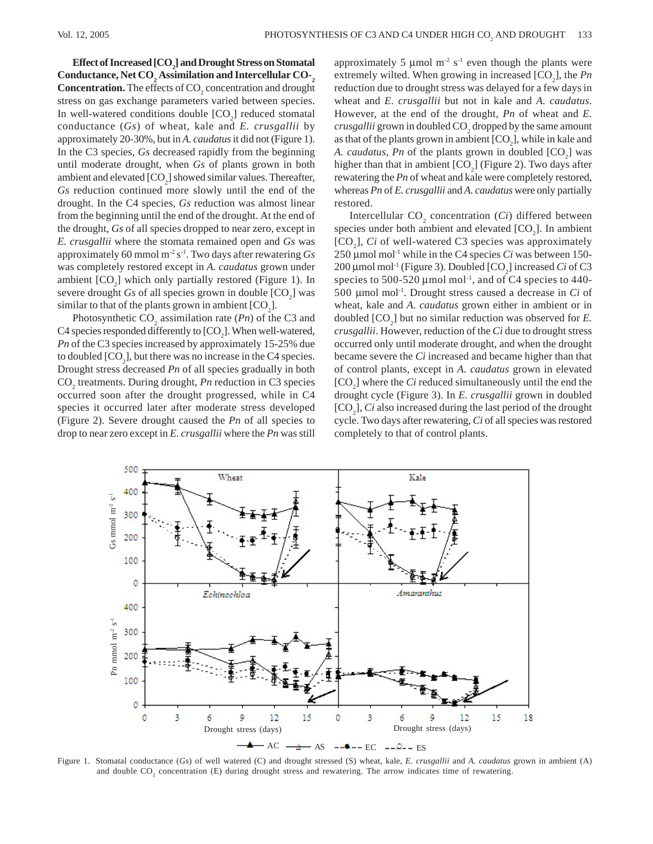$\operatorname{Effect}$  of Increased [CO<sub>2</sub>] and Drought Stress on Stomatal Conductance, Net CO<sub>2</sub> Assimilation and Intercellular CO-<sub>2</sub> **Concentration.** The effects of CO<sub>2</sub> concentration and drought stress on gas exchange parameters varied between species. In well-watered conditions double  $[CO<sub>2</sub>]$  reduced stomatal conductance (*Gs*) of wheat, kale and *E. crusgallii* by approximately 20-30%, but in *A. caudatus* it did not (Figure 1). In the C3 species, *Gs* decreased rapidly from the beginning until moderate drought, when *Gs* of plants grown in both ambient and elevated  $[CO_2]$  showed similar values. Thereafter, *Gs* reduction continued more slowly until the end of the drought. In the C4 species, *Gs* reduction was almost linear from the beginning until the end of the drought. At the end of the drought, *Gs* of all species dropped to near zero, except in *E. crusgallii* where the stomata remained open and *Gs* was approximately 60 mmol m-2 s-1. Two days after rewatering *Gs* was completely restored except in *A. caudatus* grown under ambient  $[CO<sub>2</sub>]$  which only partially restored (Figure 1). In severe drought  $G_s$  of all species grown in double  $[CO_2]$  was similar to that of the plants grown in ambient  $[CO<sub>2</sub>]$ .

Photosynthetic  $CO_2$  assimilation rate (*Pn*) of the C3 and C4 species responded differently to  $[CO_2]$ . When well-watered, *Pn* of the C3 species increased by approximately 15-25% due to doubled  $[CO_2]$ , but there was no increase in the C4 species. Drought stress decreased *Pn* of all species gradually in both CO<sub>2</sub> treatments. During drought, *Pn* reduction in C3 species occurred soon after the drought progressed, while in C4 species it occurred later after moderate stress developed (Figure 2). Severe drought caused the *Pn* of all species to drop to near zero except in *E. crusgallii* where the *Pn* was still

approximately 5  $\mu$ mol m<sup>-2</sup> s<sup>-1</sup> even though the plants were extremely wilted. When growing in increased [CO<sub>2</sub>], the *Pn* reduction due to drought stress was delayed for a few days in wheat and *E. crusgallii* but not in kale and *A. caudatus*. However, at the end of the drought, *Pn* of wheat and *E.*  $crusgallii$  grown in doubled  $\mathrm{CO}_2^{}$  dropped by the same amount as that of the plants grown in ambient  $[CO_2]$ , while in kale and *A. caudatus, Pn* of the plants grown in doubled  $[CO<sub>2</sub>]$  was higher than that in ambient  $[CO<sub>2</sub>]$  (Figure 2). Two days after rewatering the *Pn* of wheat and kale were completely restored, whereas *Pn* of *E. crusgallii* and *A. caudatus* were only partially restored.

Intercellular  $CO_2$  concentration (*Ci*) differed between species under both ambient and elevated  $[CO<sub>2</sub>]$ . In ambient [CO<sub>2</sub>], *Ci* of well-watered C3 species was approximately 250 μmol mol-1 while in the C4 species *Ci* was between 150- 200 μmol mol<sup>-1</sup> (Figure 3). Doubled [CO<sub>2</sub>] increased *Ci* of C3 species to 500-520  $\mu$ mol mol<sup>-1</sup>, and of C4 species to 440-500 μmol mol-1. Drought stress caused a decrease in *Ci* of wheat, kale and *A. caudatus* grown either in ambient or in doubled  $[CO_2]$  but no similar reduction was observed for  $E$ . *crusgallii*. However, reduction of the *Ci* due to drought stress occurred only until moderate drought, and when the drought became severe the *Ci* increased and became higher than that of control plants, except in *A. caudatus* grown in elevated  $[CO<sub>2</sub>]$  where the *Ci* reduced simultaneously until the end the drought cycle (Figure 3). In *E. crusgallii* grown in doubled [CO<sub>2</sub>], *Ci* also increased during the last period of the drought cycle. Two days after rewatering, *Ci* of all species was restored completely to that of control plants.



Figure 1. Stomatal conductance (*Gs*) of well watered (C) and drought stressed (S) wheat, kale, *E. crusgallii* and *A. caudatus* grown in ambient (A) and double  $CO_2$  concentration (E) during drought stress and rewatering. The arrow indicates time of rewatering.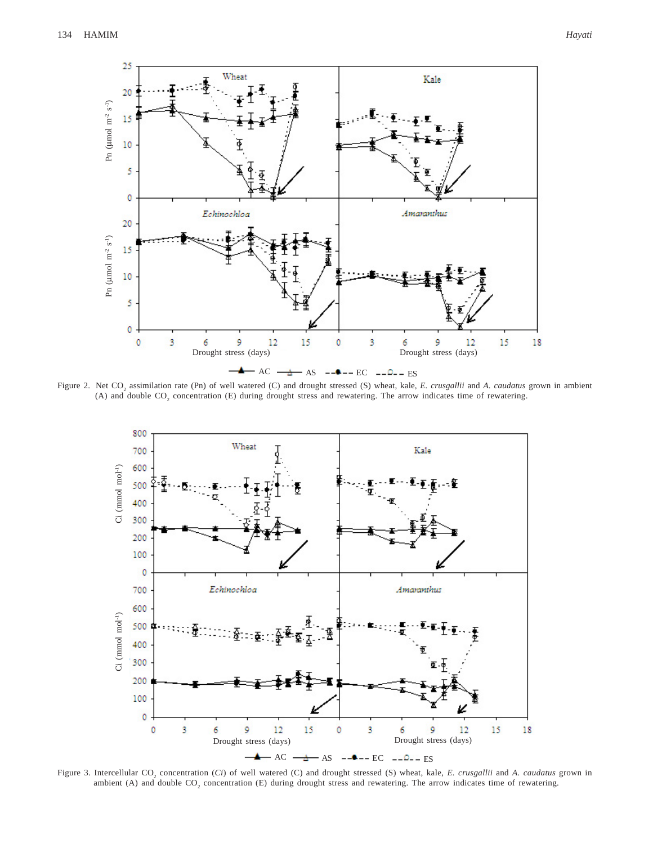

Figure 2. Net CO<sub>2</sub> assimilation rate (Pn) of well watered (C) and drought stressed (S) wheat, kale, *E. crusgallii* and *A. caudatus* grown in ambient (A) and double  $CO_2$  concentration (E) during drought stress and rewatering. The arrow indicates time of rewatering.



Figure 3. Intercellular CO<sub>2</sub> concentration (*Ci*) of well watered (C) and drought stressed (S) wheat, kale, *E. crusgallii* and *A. caudatus* grown in ambient (A) and double  $CO_2$  concentration (E) during drought stress and rewatering. The arrow indicates time of rewatering.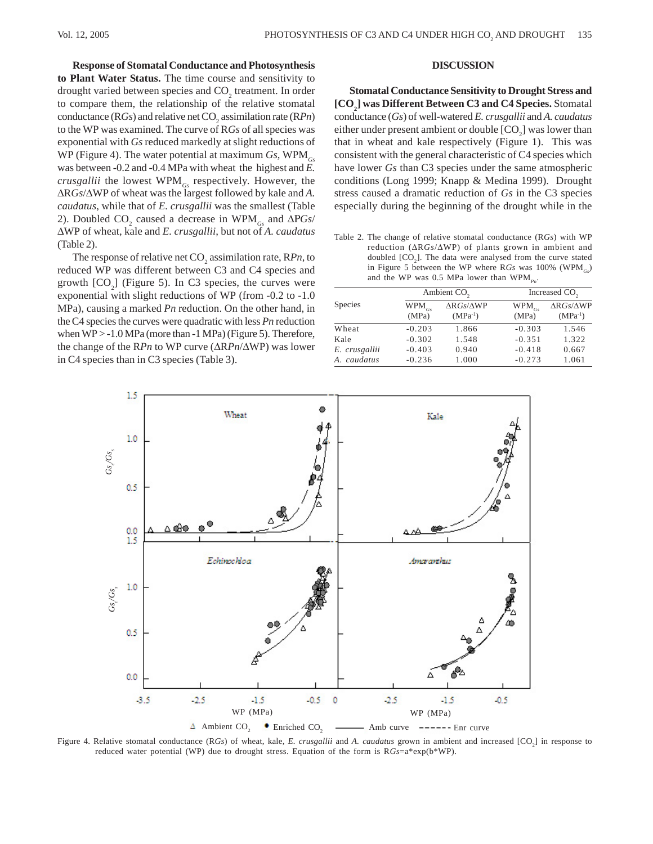**Response of Stomatal Conductance and Photosynthesis to Plant Water Status.** The time course and sensitivity to drought varied between species and  $\mathrm{CO}_2$  treatment. In order to compare them, the relationship of the relative stomatal conductance ( $RGs$ ) and relative net  $CO_2$  assimilation rate ( $RPn$ ) to the WP was examined. The curve of R*Gs* of all species was exponential with *Gs* reduced markedly at slight reductions of WP (Figure 4). The water potential at maximum  $Gs$ ,  $WPM<sub>GS</sub>$ was between -0.2 and -0.4 MPa with wheat the highest and *E. crusgallii* the lowest WPM*Gs* respectively. However, the ΔR*Gs*/ΔWP of wheat was the largest followed by kale and *A. caudatus*, while that of *E. crusgallii* was the smallest (Table 2). Doubled  $CO_2$  caused a decrease in WPM<sub>*Gs*</sub> and  $\Delta PGs/$ ΔWP of wheat, kale and *E. crusgallii*, but not of *A. caudatus* (Table 2).

The response of relative net CO<sub>2</sub> assimilation rate, RPn, to reduced WP was different between C3 and C4 species and growth  $[CO<sub>2</sub>]$  (Figure 5). In C3 species, the curves were exponential with slight reductions of WP (from -0.2 to -1.0 MPa), causing a marked *Pn* reduction. On the other hand, in the C4 species the curves were quadratic with less *Pn* reduction when WP > -1.0 MPa (more than -1 MPa) (Figure 5). Therefore, the change of the R*Pn* to WP curve (ΔR*Pn*/ΔWP) was lower in C4 species than in C3 species (Table 3).

## **DISCUSSION**

**Stomatal Conductance Sensitivity to Drought Stress and [CO2 ] was Different Between C3 and C4 Species.** Stomatal conductance (*Gs*) of well-watered *E. crusgallii* and *A. caudatus* either under present ambient or double  $[CO<sub>2</sub>]$  was lower than that in wheat and kale respectively (Figure 1). This was consistent with the general characteristic of C4 species which have lower *Gs* than C3 species under the same atmospheric conditions (Long 1999; Knapp & Medina 1999). Drought stress caused a dramatic reduction of *Gs* in the C3 species especially during the beginning of the drought while in the

Table 2. The change of relative stomatal conductance (R*Gs*) with WP reduction (ΔR*Gs*/ΔWP) of plants grown in ambient and doubled  $[CO<sub>2</sub>]$ . The data were analysed from the curve stated in Figure 5 between the WP where R*Gs* was 100% (WPM<sub>Cs</sub>) and the WP was 0.5 MPa lower than  $WPM_{p_0}$ .

|               | Ambient CO <sub>2</sub> |                                             | Increased CO <sub>2</sub> |                                         |
|---------------|-------------------------|---------------------------------------------|---------------------------|-----------------------------------------|
| Species       | $WPM_{Gs}$<br>(MPa)     | $\Delta R G$ s/ $\Delta$ WP<br>$(MPa^{-1})$ | $WPM_{Gs}$<br>(MPa)       | $\Delta R Gs/\Delta WP$<br>$(MPa^{-1})$ |
| Wheat         | $-0.203$                | 1.866                                       | $-0.303$                  | 1.546                                   |
| Kale          | $-0.302$                | 1.548                                       | $-0.351$                  | 1.322                                   |
| E. crusgallii | $-0.403$                | 0.940                                       | $-0.418$                  | 0.667                                   |
| A. caudatus   | $-0.236$                | 1.000                                       | $-0.273$                  | 1.061                                   |



Figure 4. Relative stomatal conductance (R*Gs*) of wheat, kale, *E. crusgallii* and *A. caudatus* grown in ambient and increased [CO<sub>2</sub>] in response to reduced water potential (WP) due to drought stress. Equation of the form is R*Gs*=a\*exp(b\*WP).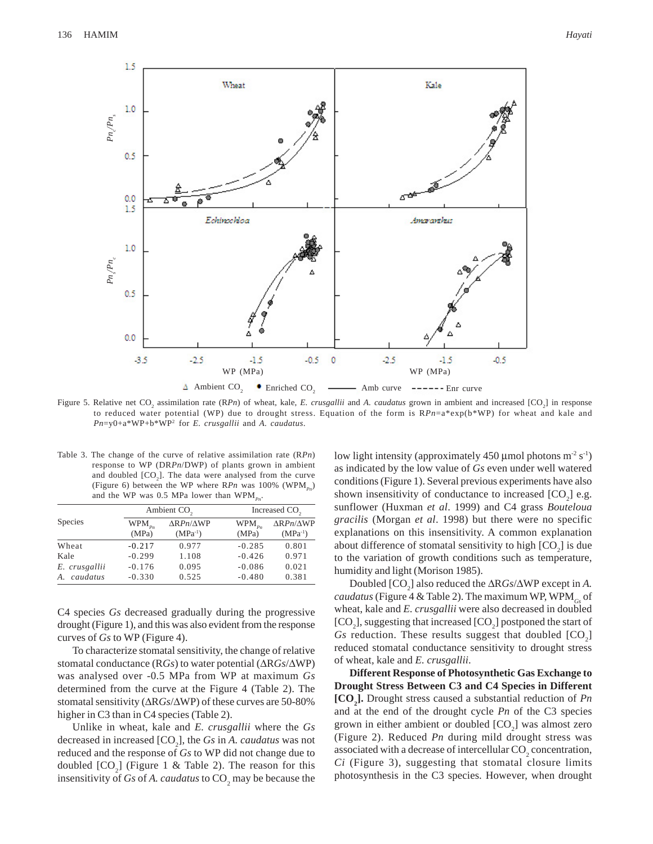

Figure 5. Relative net CO<sub>2</sub> assimilation rate (RPn) of wheat, kale, *E. crusgallii* and *A. caudatus* grown in ambient and increased [CO<sub>2</sub>] in response to reduced water potential (WP) due to drought stress. Equation of the form is R*Pn*=a\*exp(b\*WP) for wheat and kale and *Pn*=y0+a\*WP+b\*WP2 for *E. crusgallii* and *A. caudatus*.

Table 3. The change of the curve of relative assimilation rate (R*Pn*) response to WP (DR*Pn*/DWP) of plants grown in ambient and doubled  $[CO<sub>2</sub>]$ . The data were analysed from the curve (Figure 6) between the WP where  $R P n$  was 100% (WPM<sub>Pn</sub>) and the WP was 0.5 MPa lower than  $WPM_{p_n}$ .

|                |                      | Ambient CO <sub>2</sub>                   |                      | Increased CO <sub>2</sub>                 |  |
|----------------|----------------------|-------------------------------------------|----------------------|-------------------------------------------|--|
| <b>Species</b> | $WPM_{p_n}$<br>(MPa) | $\Delta$ R $Pn/\Delta$ WP<br>$(MPa^{-1})$ | $WPM_{p_n}$<br>(MPa) | $\Delta$ R $Pn/\Delta$ WP<br>$(MPa^{-1})$ |  |
| Wheat          | $-0.217$             | 0.977                                     | $-0.285$             | 0.801                                     |  |
| Kale           | $-0.299$             | 1.108                                     | $-0.426$             | 0.971                                     |  |
| E. crusgallii  | $-0.176$             | 0.095                                     | $-0.086$             | 0.021                                     |  |
| caudatus<br>A. | $-0.330$             | 0.525                                     | $-0.480$             | 0.381                                     |  |

C4 species *Gs* decreased gradually during the progressive drought (Figure 1), and this was also evident from the response curves of *Gs* to WP (Figure 4).

To characterize stomatal sensitivity, the change of relative stomatal conductance (R*Gs*) to water potential (ΔR*Gs*/ΔWP) was analysed over -0.5 MPa from WP at maximum *Gs* determined from the curve at the Figure 4 (Table 2). The stomatal sensitivity (ΔR*Gs*/ΔWP) of these curves are 50-80% higher in C3 than in C4 species (Table 2).

Unlike in wheat, kale and *E. crusgallii* where the *Gs* decreased in increased  $[CO_2]$ , the *Gs* in *A. caudatus* was not reduced and the response of *Gs* to WP did not change due to doubled  $[CO<sub>2</sub>]$  (Figure 1 & Table 2). The reason for this insensitivity of  $G_s$  of  $A$ . *caudatus* to  $CO_2$  may be because the

low light intensity (approximately 450 µmol photons  $m^2 s^{-1}$ ) as indicated by the low value of *Gs* even under well watered conditions (Figure 1). Several previous experiments have also shown insensitivity of conductance to increased  $[CO<sub>2</sub>]$  e.g. sunflower (Huxman *et al*. 1999) and C4 grass *Bouteloua gracilis* (Morgan *et al*. 1998) but there were no specific explanations on this insensitivity. A common explanation about difference of stomatal sensitivity to high  $[CO<sub>2</sub>]$  is due to the variation of growth conditions such as temperature, humidity and light (Morison 1985).

Doubled [CO<sub>2</sub>] also reduced the ΔR*Gs*/ΔWP except in *A*. *caudatus* (Figure 4 & Table 2). The maximum WP, WPM*Gs* of wheat, kale and *E. crusgallii* were also decreased in doubled  $[CO<sub>2</sub>]$ , suggesting that increased  $[CO<sub>2</sub>]$  postponed the start of  $Gs$  reduction. These results suggest that doubled  $[CO<sub>2</sub>]$ reduced stomatal conductance sensitivity to drought stress of wheat, kale and *E. crusgallii*.

**Different Response of Photosynthetic Gas Exchange to Drought Stress Between C3 and C4 Species in Different [CO2 ].** Drought stress caused a substantial reduction of *Pn* and at the end of the drought cycle *Pn* of the C3 species grown in either ambient or doubled  $[CO<sub>2</sub>]$  was almost zero (Figure 2). Reduced *Pn* during mild drought stress was associated with a decrease of intercellular  ${\rm CO_2}$  concentration, *Ci* (Figure 3), suggesting that stomatal closure limits photosynthesis in the C3 species. However, when drought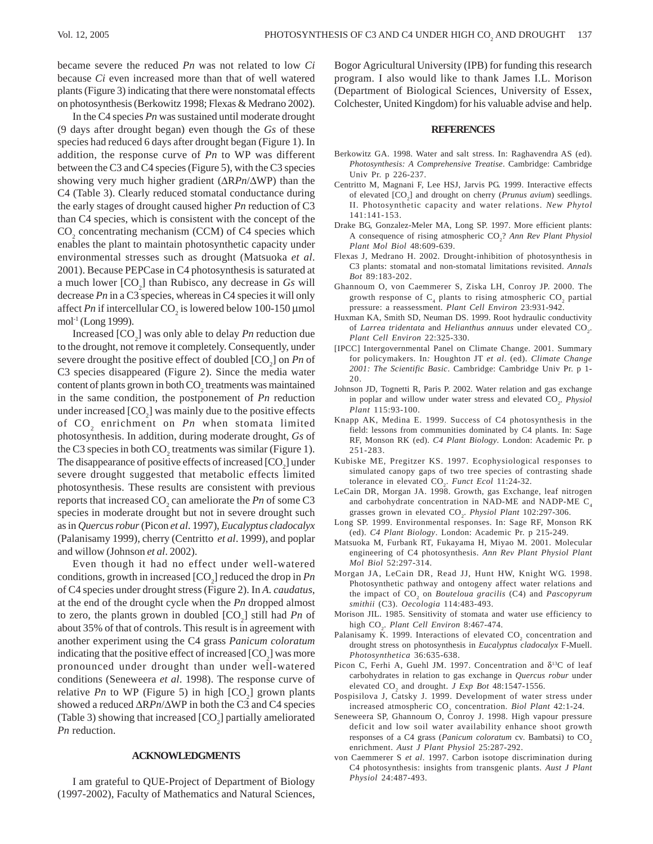became severe the reduced *Pn* was not related to low *Ci* because *Ci* even increased more than that of well watered plants (Figure 3) indicating that there were nonstomatal effects on photosynthesis (Berkowitz 1998; Flexas & Medrano 2002).

In the C4 species *Pn* was sustained until moderate drought (9 days after drought began) even though the *Gs* of these species had reduced 6 days after drought began (Figure 1). In addition, the response curve of *Pn* to WP was different between the C3 and C4 species (Figure 5), with the C3 species showing very much higher gradient (ΔR*Pn*/ΔWP) than the C4 (Table 3). Clearly reduced stomatal conductance during the early stages of drought caused higher *Pn* reduction of C3 than C4 species, which is consistent with the concept of the  $CO<sub>2</sub>$  concentrating mechanism (CCM) of C4 species which enables the plant to maintain photosynthetic capacity under environmental stresses such as drought (Matsuoka *et al*. 2001). Because PEPCase in C4 photosynthesis is saturated at a much lower [CO<sub>2</sub>] than Rubisco, any decrease in *Gs* will decrease *Pn* in a C3 species, whereas in C4 species it will only affect *Pn* if intercellular  $CO_2$  is lowered below 100-150 µmol mol-1 (Long 1999).

Increased [CO<sub>2</sub>] was only able to delay *Pn* reduction due to the drought, not remove it completely. Consequently, under severe drought the positive effect of doubled [CO<sub>2</sub>] on *Pn* of C3 species disappeared (Figure 2). Since the media water content of plants grown in both  $\mathrm{CO}_2$  treatments was maintained in the same condition, the postponement of *Pn* reduction under increased  $[CO_2]$  was mainly due to the positive effects of CO<sub>2</sub> enrichment on *Pn* when stomata limited photosynthesis. In addition, during moderate drought, *Gs* of the C3 species in both  $CO_2$  treatments was similar (Figure 1). The disappearance of positive effects of increased  $[CO<sub>2</sub>]$  under severe drought suggested that metabolic effects limited photosynthesis. These results are consistent with previous reports that increased  $CO_2$  can ameliorate the *Pn* of some C3 species in moderate drought but not in severe drought such as in *Quercus robur* (Picon *et al*. 1997), *Eucalyptus cladocalyx* (Palanisamy 1999), cherry (Centritto *et al*. 1999), and poplar and willow (Johnson *et al*. 2002).

Even though it had no effect under well-watered conditions, growth in increased [CO<sub>2</sub>] reduced the drop in *Pn* of C4 species under drought stress (Figure 2). In *A. caudatus*, at the end of the drought cycle when the *Pn* dropped almost to zero, the plants grown in doubled  $[CO_2]$  still had *Pn* of about 35% of that of controls. This result is in agreement with another experiment using the C4 grass *Panicum coloratum* indicating that the positive effect of increased  $[CO_2]$  was more pronounced under drought than under well-watered conditions (Seneweera *et al*. 1998). The response curve of relative *Pn* to WP (Figure 5) in high  $[CO_2]$  grown plants showed a reduced ΔR*Pn*/ΔWP in both the C3 and C4 species (Table 3) showing that increased  $[CO_2]$  partially ameliorated *Pn* reduction.

# **ACKNOWLEDGMENTS**

I am grateful to QUE-Project of Department of Biology (1997-2002), Faculty of Mathematics and Natural Sciences, Bogor Agricultural University (IPB) for funding this research program. I also would like to thank James I.L. Morison (Department of Biological Sciences, University of Essex, Colchester, United Kingdom) for his valuable advise and help.

#### **REFERENCES**

- Berkowitz GA. 1998. Water and salt stress. In: Raghavendra AS (ed). *Photosynthesis: A Comprehensive Treatise*. Cambridge: Cambridge Univ Pr. p 226-237.
- Centritto M, Magnani F, Lee HSJ, Jarvis PG. 1999. Interactive effects of elevated [CO<sub>2</sub>] and drought on cherry (*Prunus avium*) seedlings. II. Photosynthetic capacity and water relations. *New Phytol* 141:141-153.
- Drake BG, Gonzalez-Meler MA, Long SP. 1997. More efficient plants: A consequence of rising atmospheric CO<sub>2</sub>? Ann Rev Plant Physiol *Plant Mol Biol* 48:609-639.
- Flexas J, Medrano H. 2002. Drought-inhibition of photosynthesis in C3 plants: stomatal and non-stomatal limitations revisited. *Annals Bot* 89:183-202.
- Ghannoum O, von Caemmerer S, Ziska LH, Conroy JP. 2000. The growth response of  $\mathrm C_4$  plants to rising atmospheric  $\mathrm{CO}_2$  partial pressure: a reassessment. *Plant Cell Environ* 23:931-942.
- Huxman KA, Smith SD, Neuman DS. 1999. Root hydraulic conductivity of *Larrea tridentata* and *Helianthus annuus* under elevated CO<sub>2</sub>. *Plant Cell Environ* 22:325-330.
- [IPCC] Intergovernmental Panel on Climate Change. 2001. Summary for policymakers. In*:* Houghton JT *et al*. (ed). *Climate Change 2001: The Scientific Basic*. Cambridge: Cambridge Univ Pr. p 1- 20.
- Johnson JD, Tognetti R, Paris P. 2002. Water relation and gas exchange in poplar and willow under water stress and elevated CO<sub>2</sub>. *Physiol Plant* 115:93-100.
- Knapp AK, Medina E. 1999. Success of C4 photosynthesis in the field: lessons from communities dominated by C4 plants. In: Sage RF, Monson RK (ed). *C4 Plant Biology*. London: Academic Pr. p 251-283.
- Kubiske ME, Pregitzer KS. 1997. Ecophysiological responses to simulated canopy gaps of two tree species of contrasting shade tolerance in elevated  $CO<sub>2</sub>$ . *Funct Ecol* 11:24-32.
- LeCain DR, Morgan JA. 1998. Growth, gas Exchange, leaf nitrogen and carbohydrate concentration in NAD-ME and NADP-ME  $C_{4}$ grasses grown in elevated CO<sub>2</sub>. *Physiol Plant* 102:297-306.
- Long SP. 1999. Environmental responses. In: Sage RF, Monson RK (ed). *C4 Plant Biology*. London: Academic Pr. p 215-249.
- Matsuoka M, Furbank RT, Fukayama H, Miyao M. 2001. Molecular engineering of C4 photosynthesis. *Ann Rev Plant Physiol Plant Mol Biol* 52:297-314.
- Morgan JA, LeCain DR, Read JJ, Hunt HW, Knight WG. 1998. Photosynthetic pathway and ontogeny affect water relations and the impact of CO<sub>2</sub> on *Bouteloua gracilis* (C4) and *Pascopyrum smithii* (C3). *Oecol*o*gia* 114:483-493.
- Morison JIL. 1985. Sensitivity of stomata and water use efficiency to high CO2 . *Plant Cell Environ* 8:467-474.
- Palanisamy K. 1999. Interactions of elevated  $\mathrm{CO}_2$  concentration and drought stress on photosynthesis in *Eucalyptus cladocalyx* F-Muell. *Photosynthetica* 36:635-638.
- Picon C, Ferhi A, Guehl JM. 1997. Concentration and  $\delta^{13}C$  of leaf carbohydrates in relation to gas exchange in *Quercus robur* under elevated  $CO_2$  and drought. *J Exp Bot* 48:1547-1556.
- Pospisilova J, Catsky J. 1999. Development of water stress under increased atmospheric CO<sub>2</sub> concentration. *Biol Plant* 42:1-24.
- Seneweera SP, Ghannoum O, Conroy J. 1998. High vapour pressure deficit and low soil water availability enhance shoot growth responses of a C4 grass (*Panicum coloratum* cv. Bambatsi) to CO<sub>2</sub> enrichment. *Aust J Plant Physiol* 25:287-292.
- von Caemmerer S *et al*. 1997. Carbon isotope discrimination during C4 photosynthesis: insights from transgenic plants. *Aust J Plant Physiol* 24:487-493.